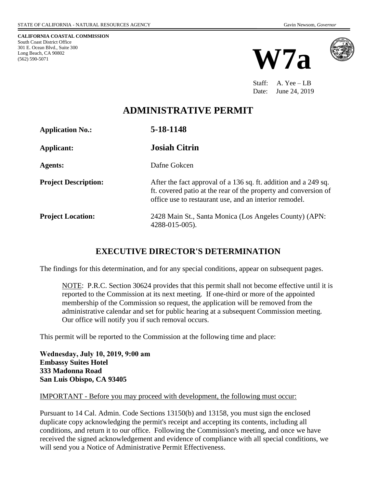**CALIFORNIA COASTAL COMMISSION** South Coast District Office 301 E. Ocean Blvd., Suite 300 Long Beach, CA 90802 (562) 590-5071





Staff: A. Yee – LB Date: June 24, 2019

# **ADMINISTRATIVE PERMIT**

**Application No.: 5-18-1148**

**Applicant: Josiah Citrin**

**Agents:** Dafne Gokcen

**Project Description:** After the fact approval of a 136 sq. ft. addition and a 249 sq.

**Project Location:** 2428 Main St., Santa Monica (Los Angeles County) (APN: 4288-015-005).

office use to restaurant use, and an interior remodel.

ft. covered patio at the rear of the property and conversion of

## **EXECUTIVE DIRECTOR'S DETERMINATION**

The findings for this determination, and for any special conditions, appear on subsequent pages.

NOTE: P.R.C. Section 30624 provides that this permit shall not become effective until it is reported to the Commission at its next meeting. If one-third or more of the appointed membership of the Commission so request, the application will be removed from the administrative calendar and set for public hearing at a subsequent Commission meeting. Our office will notify you if such removal occurs.

This permit will be reported to the Commission at the following time and place:

**Wednesday, July 10, 2019, 9:00 am Embassy Suites Hotel 333 Madonna Road San Luis Obispo, CA 93405**

#### IMPORTANT - Before you may proceed with development, the following must occur:

Pursuant to 14 Cal. Admin. Code Sections 13150(b) and 13158, you must sign the enclosed duplicate copy acknowledging the permit's receipt and accepting its contents, including all conditions, and return it to our office. Following the Commission's meeting, and once we have received the signed acknowledgement and evidence of compliance with all special conditions, we will send you a Notice of Administrative Permit Effectiveness.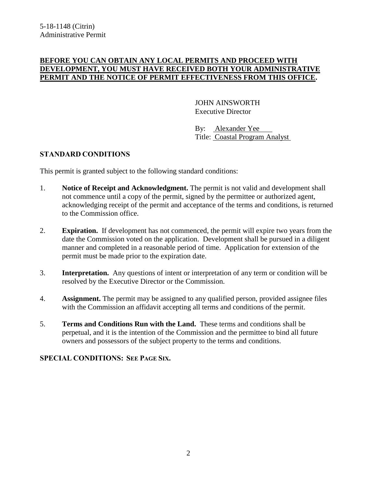#### **BEFORE YOU CAN OBTAIN ANY LOCAL PERMITS AND PROCEED WITH DEVELOPMENT, YOU MUST HAVE RECEIVED BOTH YOUR ADMINISTRATIVE PERMIT AND THE NOTICE OF PERMIT EFFECTIVENESS FROM THIS OFFICE.**

JOHN AINSWORTH Executive Director

By: Alexander Yee Title: Coastal Program Analyst

#### **STANDARD CONDITIONS**

This permit is granted subject to the following standard conditions:

- 1. **Notice of Receipt and Acknowledgment.** The permit is not valid and development shall not commence until a copy of the permit, signed by the permittee or authorized agent, acknowledging receipt of the permit and acceptance of the terms and conditions, is returned to the Commission office.
- 2. **Expiration.** If development has not commenced, the permit will expire two years from the date the Commission voted on the application. Development shall be pursued in a diligent manner and completed in a reasonable period of time. Application for extension of the permit must be made prior to the expiration date.
- 3. **Interpretation.** Any questions of intent or interpretation of any term or condition will be resolved by the Executive Director or the Commission.
- 4. **Assignment.** The permit may be assigned to any qualified person, provided assignee files with the Commission an affidavit accepting all terms and conditions of the permit.
- 5. **Terms and Conditions Run with the Land.** These terms and conditions shall be perpetual, and it is the intention of the Commission and the permittee to bind all future owners and possessors of the subject property to the terms and conditions.

#### **SPECIAL CONDITIONS: SEE PAGE SIX.**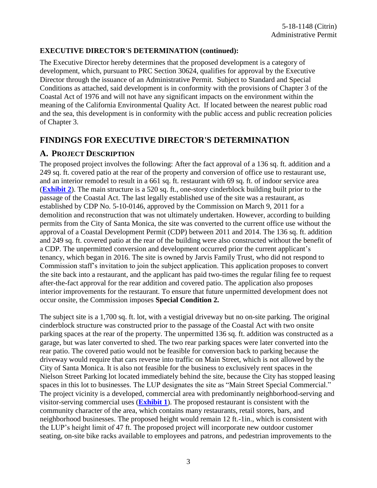#### **EXECUTIVE DIRECTOR'S DETERMINATION (continued):**

The Executive Director hereby determines that the proposed development is a category of development, which, pursuant to PRC Section 30624, qualifies for approval by the Executive Director through the issuance of an Administrative Permit. Subject to Standard and Special Conditions as attached, said development is in conformity with the provisions of Chapter 3 of the Coastal Act of 1976 and will not have any significant impacts on the environment within the meaning of the California Environmental Quality Act. If located between the nearest public road and the sea, this development is in conformity with the public access and public recreation policies of Chapter 3.

# **FINDINGS FOR EXECUTIVE DIRECTOR'S DETERMINATION**

### **A. PROJECT DESCRIPTION**

The proposed project involves the following: After the fact approval of a 136 sq. ft. addition and a 249 sq. ft. covered patio at the rear of the property and conversion of office use to restaurant use, and an interior remodel to result in a 661 sq. ft. restaurant with 69 sq. ft. of indoor service area (**[Exhibit 2](https://documents.coastal.ca.gov/reports/2019/7/W7a/W7a-7-2019-exhibits.pdf)**). The main structure is a 520 sq. ft., one-story cinderblock building built prior to the passage of the Coastal Act. The last legally established use of the site was a restaurant, as established by CDP No. 5-10-0146, approved by the Commission on March 9, 2011 for a demolition and reconstruction that was not ultimately undertaken. However, according to building permits from the City of Santa Monica, the site was converted to the current office use without the approval of a Coastal Development Permit (CDP) between 2011 and 2014. The 136 sq. ft. addition and 249 sq. ft. covered patio at the rear of the building were also constructed without the benefit of a CDP. The unpermitted conversion and development occurred prior the current applicant's tenancy, which began in 2016. The site is owned by Jarvis Family Trust, who did not respond to Commission staff's invitation to join the subject application. This application proposes to convert the site back into a restaurant, and the applicant has paid two-times the regular filing fee to request after-the-fact approval for the rear addition and covered patio. The application also proposes interior improvements for the restaurant. To ensure that future unpermitted development does not occur onsite, the Commission imposes **Special Condition 2.**

The subject site is a 1,700 sq. ft. lot, with a vestigial driveway but no on-site parking. The original cinderblock structure was constructed prior to the passage of the Coastal Act with two onsite parking spaces at the rear of the property. The unpermitted 136 sq. ft. addition was constructed as a garage, but was later converted to shed. The two rear parking spaces were later converted into the rear patio. The covered patio would not be feasible for conversion back to parking because the driveway would require that cars reverse into traffic on Main Street, which is not allowed by the City of Santa Monica. It is also not feasible for the business to exclusively rent spaces in the Nielson Street Parking lot located immediately behind the site, because the City has stopped leasing spaces in this lot to businesses. The LUP designates the site as "Main Street Special Commercial." The project vicinity is a developed, commercial area with predominantly neighborhood-serving and visitor-serving commercial uses (**[Exhibit 1](https://documents.coastal.ca.gov/reports/2019/7/W7a/W7a-7-2019-exhibits.pdf)**). The proposed restaurant is consistent with the community character of the area, which contains many restaurants, retail stores, bars, and neighborhood businesses. The proposed height would remain 12 ft.-1in., which is consistent with the LUP's height limit of 47 ft. The proposed project will incorporate new outdoor customer seating, on-site bike racks available to employees and patrons, and pedestrian improvements to the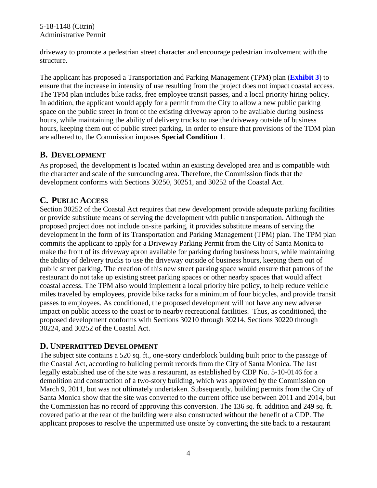#### 5-18-1148 (Citrin) Administrative Permit

driveway to promote a pedestrian street character and encourage pedestrian involvement with the structure.

The applicant has proposed a Transportation and Parking Management (TPM) plan (**[Exhibit 3](https://documents.coastal.ca.gov/reports/2019/7/W7a/W7a-7-2019-exhibits.pdf)**) to ensure that the increase in intensity of use resulting from the project does not impact coastal access. The TPM plan includes bike racks, free employee transit passes, and a local priority hiring policy. In addition, the applicant would apply for a permit from the City to allow a new public parking space on the public street in front of the existing driveway apron to be available during business hours, while maintaining the ability of delivery trucks to use the driveway outside of business hours, keeping them out of public street parking. In order to ensure that provisions of the TDM plan are adhered to, the Commission imposes **Special Condition 1**.

### **B. DEVELOPMENT**

As proposed, the development is located within an existing developed area and is compatible with the character and scale of the surrounding area. Therefore, the Commission finds that the development conforms with Sections 30250, 30251, and 30252 of the Coastal Act.

## **C. PUBLIC ACCESS**

Section 30252 of the Coastal Act requires that new development provide adequate parking facilities or provide substitute means of serving the development with public transportation. Although the proposed project does not include on-site parking, it provides substitute means of serving the development in the form of its Transportation and Parking Management (TPM) plan. The TPM plan commits the applicant to apply for a Driveway Parking Permit from the City of Santa Monica to make the front of its driveway apron available for parking during business hours, while maintaining the ability of delivery trucks to use the driveway outside of business hours, keeping them out of public street parking. The creation of this new street parking space would ensure that patrons of the restaurant do not take up existing street parking spaces or other nearby spaces that would affect coastal access. The TPM also would implement a local priority hire policy, to help reduce vehicle miles traveled by employees, provide bike racks for a minimum of four bicycles, and provide transit passes to employees. As conditioned, the proposed development will not have any new adverse impact on public access to the coast or to nearby recreational facilities. Thus, as conditioned, the proposed development conforms with Sections 30210 through 30214, Sections 30220 through 30224, and 30252 of the Coastal Act.

### **D. UNPERMITTED DEVELOPMENT**

The subject site contains a 520 sq. ft., one-story cinderblock building built prior to the passage of the Coastal Act, according to building permit records from the City of Santa Monica. The last legally established use of the site was a restaurant, as established by CDP No. 5-10-0146 for a demolition and construction of a two-story building, which was approved by the Commission on March 9, 2011, but was not ultimately undertaken. Subsequently, building permits from the City of Santa Monica show that the site was converted to the current office use between 2011 and 2014, but the Commission has no record of approving this conversion. The 136 sq. ft. addition and 249 sq. ft. covered patio at the rear of the building were also constructed without the benefit of a CDP. The applicant proposes to resolve the unpermitted use onsite by converting the site back to a restaurant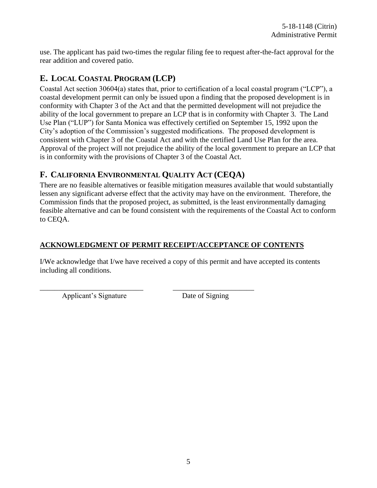use. The applicant has paid two-times the regular filing fee to request after-the-fact approval for the rear addition and covered patio.

# **E. LOCAL COASTAL PROGRAM (LCP)**

Coastal Act section 30604(a) states that, prior to certification of a local coastal program ("LCP"), a coastal development permit can only be issued upon a finding that the proposed development is in conformity with Chapter 3 of the Act and that the permitted development will not prejudice the ability of the local government to prepare an LCP that is in conformity with Chapter 3. The Land Use Plan ("LUP") for Santa Monica was effectively certified on September 15, 1992 upon the City's adoption of the Commission's suggested modifications. The proposed development is consistent with Chapter 3 of the Coastal Act and with the certified Land Use Plan for the area. Approval of the project will not prejudice the ability of the local government to prepare an LCP that is in conformity with the provisions of Chapter 3 of the Coastal Act.

# **F. CALIFORNIA ENVIRONMENTAL QUALITY ACT (CEQA)**

There are no feasible alternatives or feasible mitigation measures available that would substantially lessen any significant adverse effect that the activity may have on the environment. Therefore, the Commission finds that the proposed project, as submitted, is the least environmentally damaging feasible alternative and can be found consistent with the requirements of the Coastal Act to conform to CEQA.

## **ACKNOWLEDGMENT OF PERMIT RECEIPT/ACCEPTANCE OF CONTENTS**

I/We acknowledge that I/we have received a copy of this permit and have accepted its contents including all conditions.

\_\_\_\_\_\_\_\_\_\_\_\_\_\_\_\_\_\_\_\_\_\_\_\_\_\_\_\_ \_\_\_\_\_\_\_\_\_\_\_\_\_\_\_\_\_\_\_\_\_\_ Applicant's Signature Date of Signing